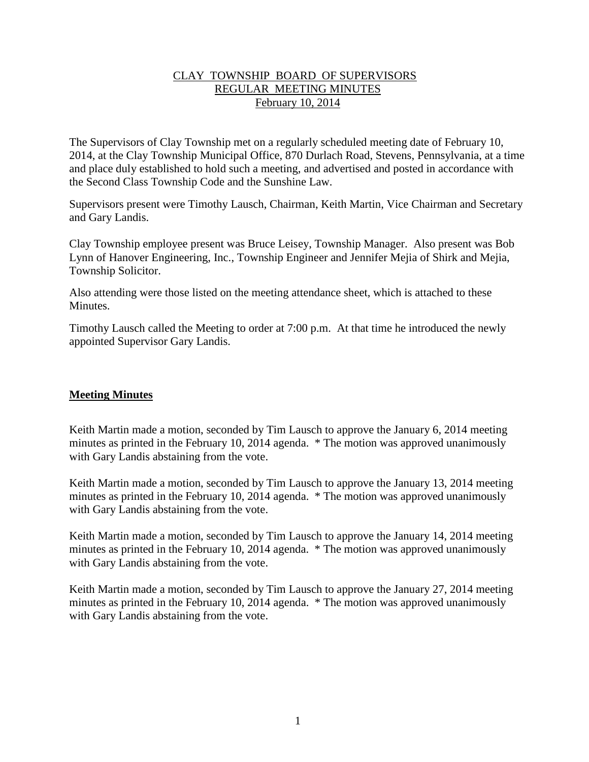#### CLAY TOWNSHIP BOARD OF SUPERVISORS REGULAR MEETING MINUTES February 10, 2014

The Supervisors of Clay Township met on a regularly scheduled meeting date of February 10, 2014, at the Clay Township Municipal Office, 870 Durlach Road, Stevens, Pennsylvania, at a time and place duly established to hold such a meeting, and advertised and posted in accordance with the Second Class Township Code and the Sunshine Law.

Supervisors present were Timothy Lausch, Chairman, Keith Martin, Vice Chairman and Secretary and Gary Landis.

Clay Township employee present was Bruce Leisey, Township Manager. Also present was Bob Lynn of Hanover Engineering, Inc., Township Engineer and Jennifer Mejia of Shirk and Mejia, Township Solicitor.

Also attending were those listed on the meeting attendance sheet, which is attached to these **Minutes** 

Timothy Lausch called the Meeting to order at 7:00 p.m. At that time he introduced the newly appointed Supervisor Gary Landis.

### **Meeting Minutes**

Keith Martin made a motion, seconded by Tim Lausch to approve the January 6, 2014 meeting minutes as printed in the February 10, 2014 agenda. \* The motion was approved unanimously with Gary Landis abstaining from the vote.

Keith Martin made a motion, seconded by Tim Lausch to approve the January 13, 2014 meeting minutes as printed in the February 10, 2014 agenda. \* The motion was approved unanimously with Gary Landis abstaining from the vote.

Keith Martin made a motion, seconded by Tim Lausch to approve the January 14, 2014 meeting minutes as printed in the February 10, 2014 agenda. \* The motion was approved unanimously with Gary Landis abstaining from the vote.

Keith Martin made a motion, seconded by Tim Lausch to approve the January 27, 2014 meeting minutes as printed in the February 10, 2014 agenda. \* The motion was approved unanimously with Gary Landis abstaining from the vote.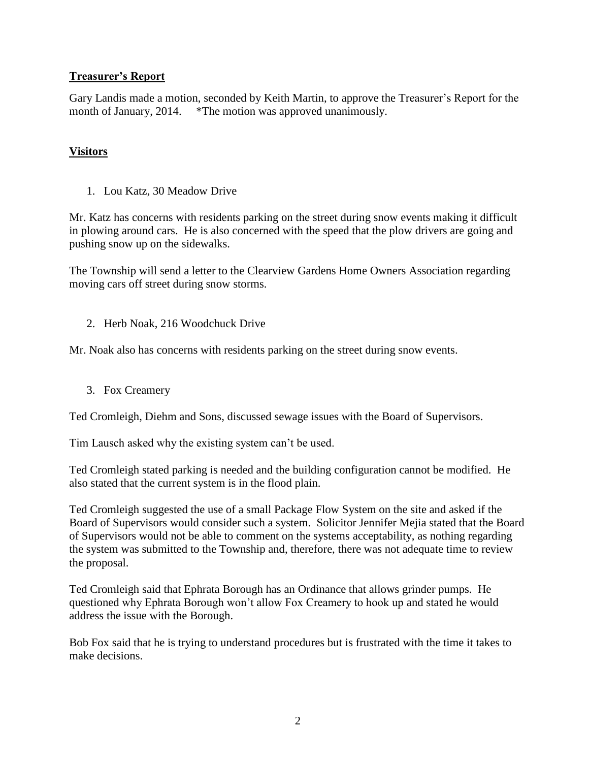## **Treasurer's Report**

Gary Landis made a motion, seconded by Keith Martin, to approve the Treasurer's Report for the month of January, 2014. \*The motion was approved unanimously.

# **Visitors**

1. Lou Katz, 30 Meadow Drive

Mr. Katz has concerns with residents parking on the street during snow events making it difficult in plowing around cars. He is also concerned with the speed that the plow drivers are going and pushing snow up on the sidewalks.

The Township will send a letter to the Clearview Gardens Home Owners Association regarding moving cars off street during snow storms.

2. Herb Noak, 216 Woodchuck Drive

Mr. Noak also has concerns with residents parking on the street during snow events.

3. Fox Creamery

Ted Cromleigh, Diehm and Sons, discussed sewage issues with the Board of Supervisors.

Tim Lausch asked why the existing system can't be used.

Ted Cromleigh stated parking is needed and the building configuration cannot be modified. He also stated that the current system is in the flood plain.

Ted Cromleigh suggested the use of a small Package Flow System on the site and asked if the Board of Supervisors would consider such a system. Solicitor Jennifer Mejia stated that the Board of Supervisors would not be able to comment on the systems acceptability, as nothing regarding the system was submitted to the Township and, therefore, there was not adequate time to review the proposal.

Ted Cromleigh said that Ephrata Borough has an Ordinance that allows grinder pumps. He questioned why Ephrata Borough won't allow Fox Creamery to hook up and stated he would address the issue with the Borough.

Bob Fox said that he is trying to understand procedures but is frustrated with the time it takes to make decisions.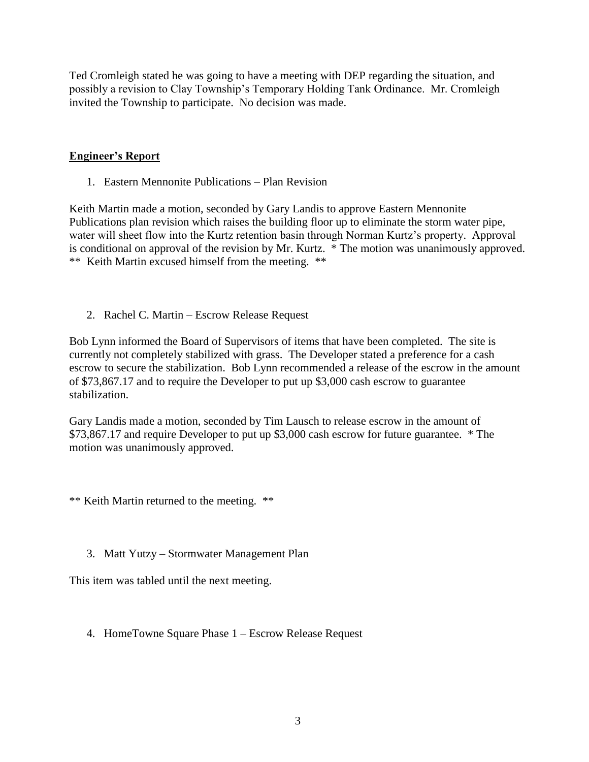Ted Cromleigh stated he was going to have a meeting with DEP regarding the situation, and possibly a revision to Clay Township's Temporary Holding Tank Ordinance. Mr. Cromleigh invited the Township to participate. No decision was made.

## **Engineer's Report**

1. Eastern Mennonite Publications – Plan Revision

Keith Martin made a motion, seconded by Gary Landis to approve Eastern Mennonite Publications plan revision which raises the building floor up to eliminate the storm water pipe, water will sheet flow into the Kurtz retention basin through Norman Kurtz's property. Approval is conditional on approval of the revision by Mr. Kurtz. \* The motion was unanimously approved. \*\* Keith Martin excused himself from the meeting. \*\*

2. Rachel C. Martin – Escrow Release Request

Bob Lynn informed the Board of Supervisors of items that have been completed. The site is currently not completely stabilized with grass. The Developer stated a preference for a cash escrow to secure the stabilization. Bob Lynn recommended a release of the escrow in the amount of \$73,867.17 and to require the Developer to put up \$3,000 cash escrow to guarantee stabilization.

Gary Landis made a motion, seconded by Tim Lausch to release escrow in the amount of \$73,867.17 and require Developer to put up \$3,000 cash escrow for future guarantee. \* The motion was unanimously approved.

\*\* Keith Martin returned to the meeting. \*\*

3. Matt Yutzy – Stormwater Management Plan

This item was tabled until the next meeting.

4. HomeTowne Square Phase 1 – Escrow Release Request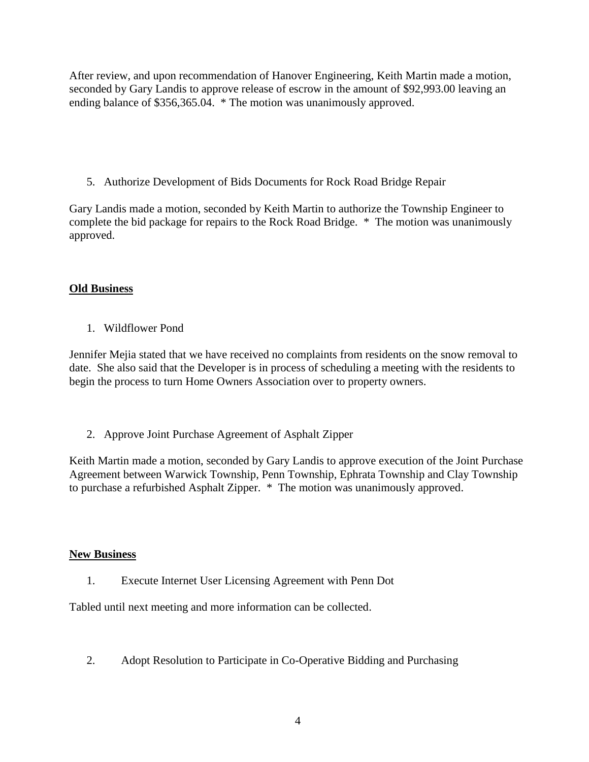After review, and upon recommendation of Hanover Engineering, Keith Martin made a motion, seconded by Gary Landis to approve release of escrow in the amount of \$92,993.00 leaving an ending balance of \$356,365.04. \* The motion was unanimously approved.

5. Authorize Development of Bids Documents for Rock Road Bridge Repair

Gary Landis made a motion, seconded by Keith Martin to authorize the Township Engineer to complete the bid package for repairs to the Rock Road Bridge. \* The motion was unanimously approved.

# **Old Business**

1. Wildflower Pond

Jennifer Mejia stated that we have received no complaints from residents on the snow removal to date. She also said that the Developer is in process of scheduling a meeting with the residents to begin the process to turn Home Owners Association over to property owners.

2. Approve Joint Purchase Agreement of Asphalt Zipper

Keith Martin made a motion, seconded by Gary Landis to approve execution of the Joint Purchase Agreement between Warwick Township, Penn Township, Ephrata Township and Clay Township to purchase a refurbished Asphalt Zipper. \* The motion was unanimously approved.

### **New Business**

1. Execute Internet User Licensing Agreement with Penn Dot

Tabled until next meeting and more information can be collected.

2. Adopt Resolution to Participate in Co-Operative Bidding and Purchasing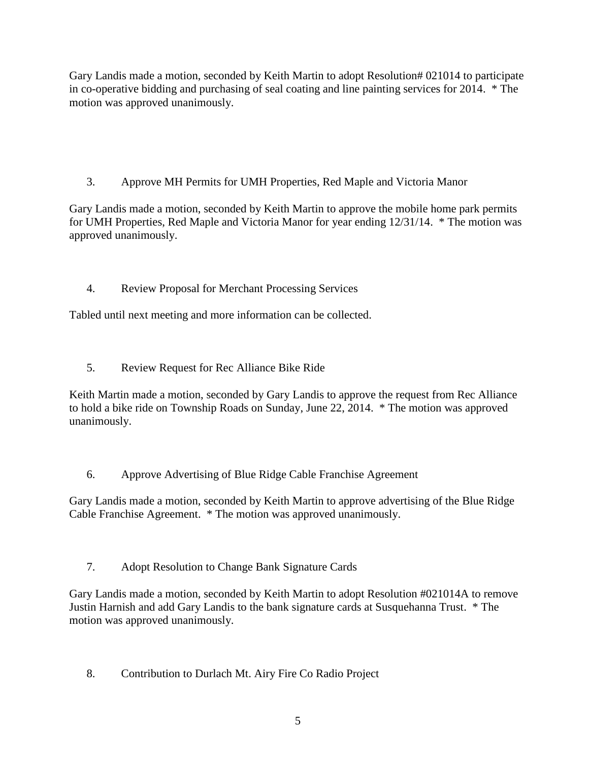Gary Landis made a motion, seconded by Keith Martin to adopt Resolution# 021014 to participate in co-operative bidding and purchasing of seal coating and line painting services for 2014. \* The motion was approved unanimously.

3. Approve MH Permits for UMH Properties, Red Maple and Victoria Manor

Gary Landis made a motion, seconded by Keith Martin to approve the mobile home park permits for UMH Properties, Red Maple and Victoria Manor for year ending 12/31/14. \* The motion was approved unanimously.

4. Review Proposal for Merchant Processing Services

Tabled until next meeting and more information can be collected.

5. Review Request for Rec Alliance Bike Ride

Keith Martin made a motion, seconded by Gary Landis to approve the request from Rec Alliance to hold a bike ride on Township Roads on Sunday, June 22, 2014. \* The motion was approved unanimously.

6. Approve Advertising of Blue Ridge Cable Franchise Agreement

Gary Landis made a motion, seconded by Keith Martin to approve advertising of the Blue Ridge Cable Franchise Agreement. \* The motion was approved unanimously.

7. Adopt Resolution to Change Bank Signature Cards

Gary Landis made a motion, seconded by Keith Martin to adopt Resolution #021014A to remove Justin Harnish and add Gary Landis to the bank signature cards at Susquehanna Trust. \* The motion was approved unanimously.

8. Contribution to Durlach Mt. Airy Fire Co Radio Project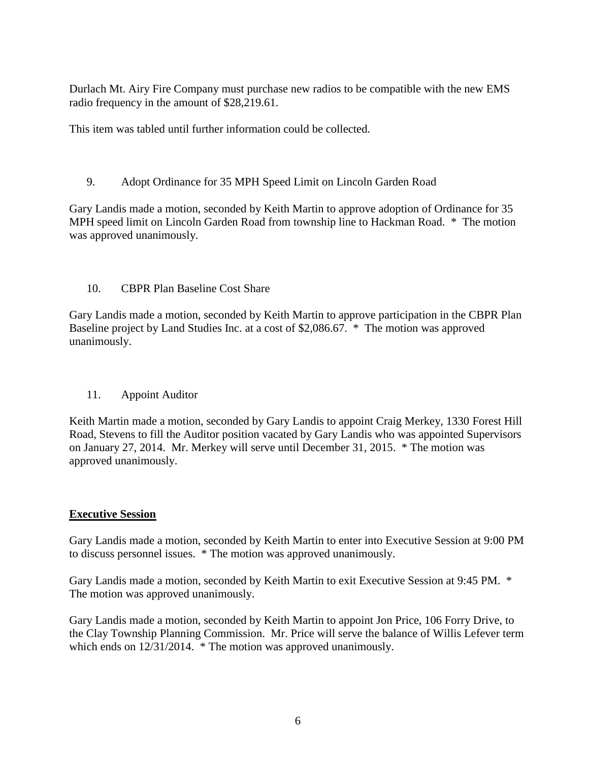Durlach Mt. Airy Fire Company must purchase new radios to be compatible with the new EMS radio frequency in the amount of \$28,219.61.

This item was tabled until further information could be collected.

9. Adopt Ordinance for 35 MPH Speed Limit on Lincoln Garden Road

Gary Landis made a motion, seconded by Keith Martin to approve adoption of Ordinance for 35 MPH speed limit on Lincoln Garden Road from township line to Hackman Road. \* The motion was approved unanimously.

#### 10. CBPR Plan Baseline Cost Share

Gary Landis made a motion, seconded by Keith Martin to approve participation in the CBPR Plan Baseline project by Land Studies Inc. at a cost of \$2,086.67. \* The motion was approved unanimously.

### 11. Appoint Auditor

Keith Martin made a motion, seconded by Gary Landis to appoint Craig Merkey, 1330 Forest Hill Road, Stevens to fill the Auditor position vacated by Gary Landis who was appointed Supervisors on January 27, 2014. Mr. Merkey will serve until December 31, 2015. \* The motion was approved unanimously.

### **Executive Session**

Gary Landis made a motion, seconded by Keith Martin to enter into Executive Session at 9:00 PM to discuss personnel issues. \* The motion was approved unanimously.

Gary Landis made a motion, seconded by Keith Martin to exit Executive Session at 9:45 PM. \* The motion was approved unanimously.

Gary Landis made a motion, seconded by Keith Martin to appoint Jon Price, 106 Forry Drive, to the Clay Township Planning Commission. Mr. Price will serve the balance of Willis Lefever term which ends on  $12/31/2014$ . \* The motion was approved unanimously.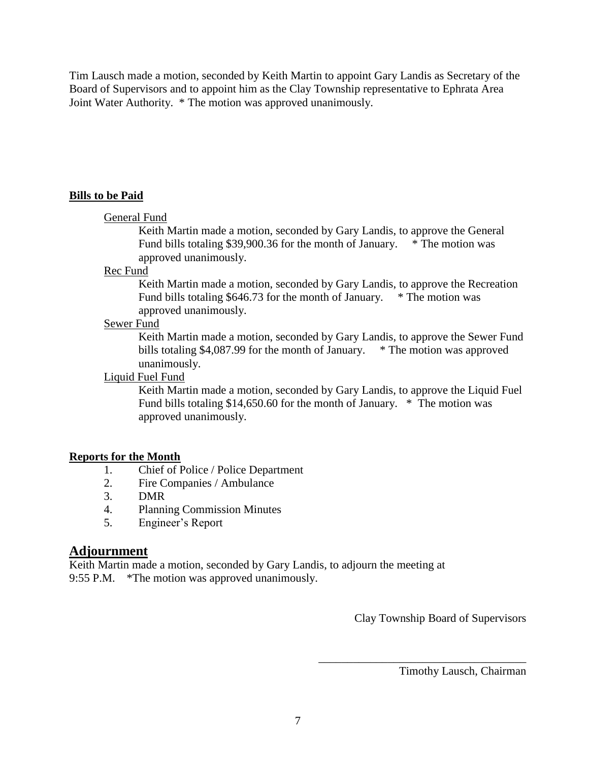Tim Lausch made a motion, seconded by Keith Martin to appoint Gary Landis as Secretary of the Board of Supervisors and to appoint him as the Clay Township representative to Ephrata Area Joint Water Authority. \* The motion was approved unanimously.

# **Bills to be Paid**

#### General Fund

Keith Martin made a motion, seconded by Gary Landis, to approve the General Fund bills totaling \$39,900.36 for the month of January. \* The motion was approved unanimously.

#### Rec Fund

Keith Martin made a motion, seconded by Gary Landis, to approve the Recreation Fund bills totaling  $$646.73$  for the month of January.  $*$  The motion was approved unanimously.

#### Sewer Fund

Keith Martin made a motion, seconded by Gary Landis, to approve the Sewer Fund bills totaling \$4,087.99 for the month of January. \* The motion was approved unanimously.

#### Liquid Fuel Fund

Keith Martin made a motion, seconded by Gary Landis, to approve the Liquid Fuel Fund bills totaling \$14,650.60 for the month of January. \* The motion was approved unanimously.

### **Reports for the Month**

- 1. Chief of Police / Police Department
- 2. Fire Companies / Ambulance
- 3. DMR
- 4. Planning Commission Minutes
- 5. Engineer's Report

# **Adjournment**

Keith Martin made a motion, seconded by Gary Landis, to adjourn the meeting at 9:55 P.M. \*The motion was approved unanimously.

Clay Township Board of Supervisors

\_\_\_\_\_\_\_\_\_\_\_\_\_\_\_\_\_\_\_\_\_\_\_\_\_\_\_\_\_\_\_\_\_\_\_\_

Timothy Lausch, Chairman